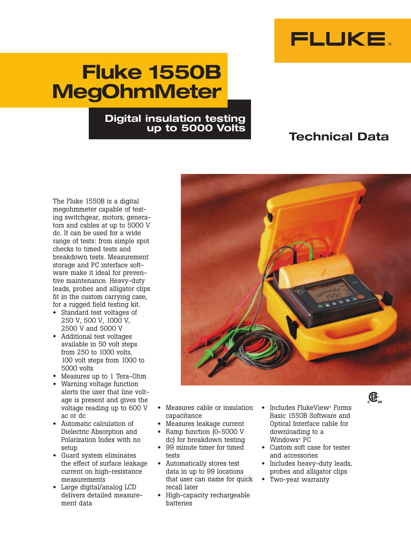

# **Fluke 1550B MegOhmMeter**

### **Digital insulation testing up to 5000 Volts**

## **Technical Data**

The Fluke 1550B is a digital megohmmeter capable of testing switchgear, motors, generators and cables at up to 5000 V dc. It can be used for a wide range of tests: from simple spot checks to timed tests and breakdown tests. Measurement storage and PC interface software make it ideal for preventive maintenance. Heavy-duty leads, probes and alligator clips fit in the custom carrying case, for a rugged field testing kit.

- Standard test voltages of 250 V, 500 V, 1000 V, 2500 V and 5000 V
- Additional test voltages available in 50 volt steps from 250 to 1000 volts, 100 volt steps from 1000 to 5000 volts
- Measures up to 1 Tera-Ohm
- Warning voltage function alerts the user that line voltage is present and gives the voltage reading up to 600 V ac or dc
- Automatic calculation of Dielectric Absorption and Polarization Index with no setup
- Guard system eliminates the effect of surface leakage current on high-resistance measurements
- Large digital/analog LCD delivers detailed measurement data
- Measures cable or insulation capacitance
- Measures leakage current
- Ramp function (0-5000 V dc) for breakdown testing
- 99 minute timer for timed tests
- Automatically stores test data in up to 99 locations that user can name for quick recall later
- High-capacity rechargeable batteries
- Includes FlukeView® Forms Basic 1550B Software and Optical Interface cable for downloading to a Windows® PC
- Custom soft case for tester and accessories
- Includes heavy-duty leads, probes and alligator clips
- Two-year warranty